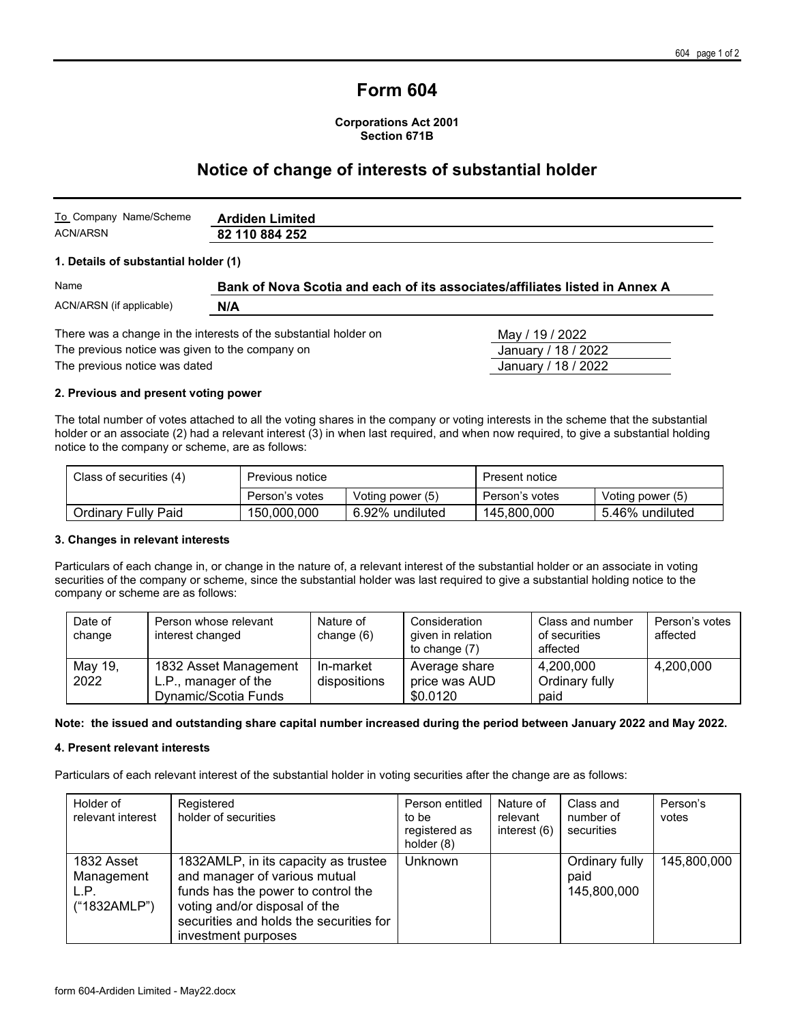# **Form 604**

**Corporations Act 2001 Section 671B**

## **Notice of change of interests of substantial holder**

| To Company Name/Scheme | <b>Ardiden Limited</b> |
|------------------------|------------------------|
| ACN/ARSN               | 82 110 884 252         |

#### **1. Details of substantial holder (1)**

| Name                     | Bank of Nova Scotia and each of its associates/affiliates listed in Annex A |                 |  |  |
|--------------------------|-----------------------------------------------------------------------------|-----------------|--|--|
| ACN/ARSN (if applicable) | N/A                                                                         |                 |  |  |
|                          | There was a change in the interests of the substantial holder on            | May / 19 / 2022 |  |  |

The previous notice was given to the company on  $\overline{a}$  January / 18 / 2022

The previous notice was dated **Accord 2009 January / 18 / 2022** 

#### **2. Previous and present voting power**

The total number of votes attached to all the voting shares in the company or voting interests in the scheme that the substantial holder or an associate (2) had a relevant interest (3) in when last required, and when now required, to give a substantial holding notice to the company or scheme, are as follows:

| Class of securities (4) | Previous notice |                  | Present notice |                  |
|-------------------------|-----------------|------------------|----------------|------------------|
|                         | Person's votes  | Voting power (5) | Person's votes | Voting power (5) |
| Ordinary Fully Paid     | 150,000,000     | 6.92% undiluted  | 145,800,000    | 5.46% undiluted  |

#### **3. Changes in relevant interests**

Particulars of each change in, or change in the nature of, a relevant interest of the substantial holder or an associate in voting securities of the company or scheme, since the substantial holder was last required to give a substantial holding notice to the company or scheme are as follows:

| Date of<br>change | Person whose relevant<br>interest changed | Nature of<br>change (6) | Consideration<br>given in relation<br>to change $(7)$ | Class and number<br>of securities<br>affected | Person's votes<br>affected |
|-------------------|-------------------------------------------|-------------------------|-------------------------------------------------------|-----------------------------------------------|----------------------------|
| May 19,           | 1832 Asset Management                     | In-market               | Average share                                         | 4,200,000                                     | 4,200,000                  |
| 2022              | L.P., manager of the                      | dispositions            | price was AUD                                         | Ordinary fully                                |                            |
|                   | Dynamic/Scotia Funds                      |                         | \$0.0120                                              | paid                                          |                            |

#### **Note: the issued and outstanding share capital number increased during the period between January 2022 and May 2022.**

#### **4. Present relevant interests**

Particulars of each relevant interest of the substantial holder in voting securities after the change are as follows:

| Holder of<br>relevant interest                   | Registered<br>holder of securities                                                                                                                                                                             | Person entitled<br>to be<br>registered as<br>holder (8) | Nature of<br>relevant<br>interest (6) | Class and<br>number of<br>securities  | Person's<br>votes |
|--------------------------------------------------|----------------------------------------------------------------------------------------------------------------------------------------------------------------------------------------------------------------|---------------------------------------------------------|---------------------------------------|---------------------------------------|-------------------|
| 1832 Asset<br>Management<br>L.P.<br>("1832AMLP") | 1832AMLP, in its capacity as trustee<br>and manager of various mutual<br>funds has the power to control the<br>voting and/or disposal of the<br>securities and holds the securities for<br>investment purposes | Unknown                                                 |                                       | Ordinary fully<br>paid<br>145,800,000 | 145,800,000       |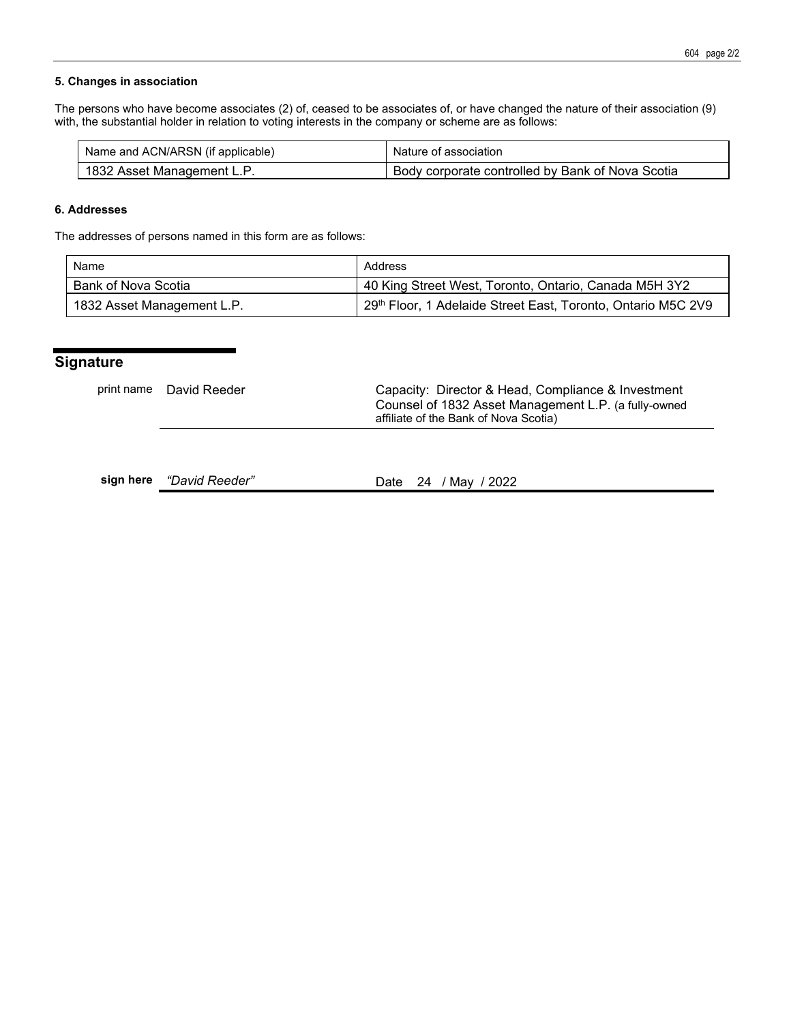#### **5. Changes in association**

The persons who have become associates (2) of, ceased to be associates of, or have changed the nature of their association (9) with, the substantial holder in relation to voting interests in the company or scheme are as follows:

| Name and ACN/ARSN (if applicable) | Nature of association                            |
|-----------------------------------|--------------------------------------------------|
| 1832 Asset Management L.P.        | Body corporate controlled by Bank of Nova Scotia |

#### **6. Addresses**

The addresses of persons named in this form are as follows:

| Name                       | Address                                                      |  |  |
|----------------------------|--------------------------------------------------------------|--|--|
| Bank of Nova Scotia        | 40 King Street West, Toronto, Ontario, Canada M5H 3Y2        |  |  |
| 1832 Asset Management L.P. | 29th Floor, 1 Adelaide Street East, Toronto, Ontario M5C 2V9 |  |  |

## **Signature**

| print name David Reeder | Capacity: Director & Head, Compliance & Investment<br>Counsel of 1832 Asset Management L.P. (a fully-owned<br>affiliate of the Bank of Nova Scotia) |
|-------------------------|-----------------------------------------------------------------------------------------------------------------------------------------------------|
|                         |                                                                                                                                                     |

|  | sign here <i>"David Reeder"</i> |  |  | Date 24 / May / 2022 |
|--|---------------------------------|--|--|----------------------|
|--|---------------------------------|--|--|----------------------|